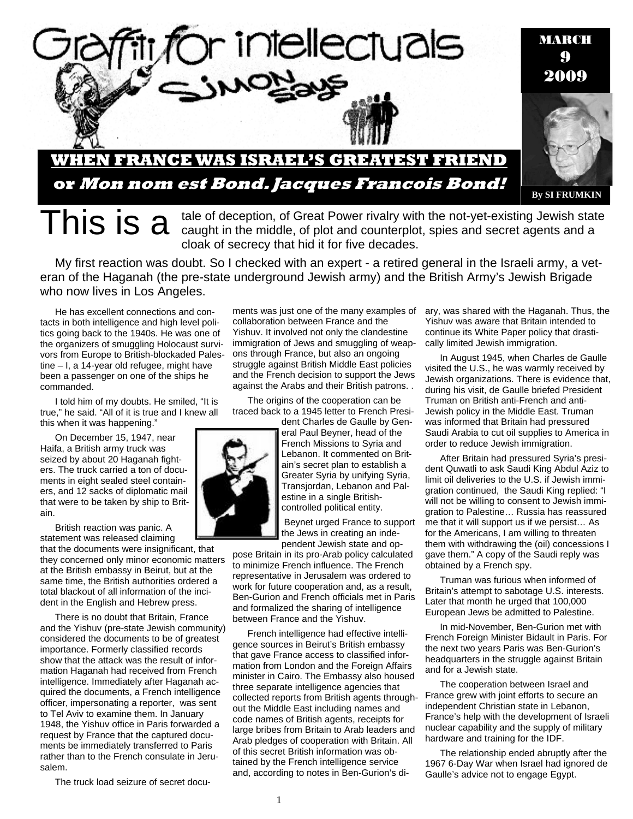

This is a tale of deception, of Great Power rivalry with the not-yet-existing Jewish state<br>This is allowing the middle, of plot and counterplot, spies and secret agents and a cloak of secrecy that hid it for five decades.

My first reaction was doubt. So I checked with an expert - a retired general in the Israeli army, a veteran of the Haganah (the pre-state underground Jewish army) and the British Army's Jewish Brigade who now lives in Los Angeles.

He has excellent connections and contacts in both intelligence and high level politics going back to the 1940s. He was one of the organizers of smuggling Holocaust survivors from Europe to British-blockaded Palestine – I, a 14-year old refugee, might have been a passenger on one of the ships he commanded.

I told him of my doubts. He smiled, "It is true," he said. "All of it is true and I knew all this when it was happening."

On December 15, 1947, near Haifa, a British army truck was seized by about 20 Haganah fighters. The truck carried a ton of documents in eight sealed steel containers, and 12 sacks of diplomatic mail that were to be taken by ship to Britain.

British reaction was panic. A statement was released claiming that the documents were insignificant, that they concerned only minor economic matters at the British embassy in Beirut, but at the same time, the British authorities ordered a total blackout of all information of the incident in the English and Hebrew press.

There is no doubt that Britain, France and the Yishuv (pre-state Jewish community) considered the documents to be of greatest importance. Formerly classified records show that the attack was the result of information Haganah had received from French intelligence. Immediately after Haganah acquired the documents, a French intelligence officer, impersonating a reporter, was sent to Tel Aviv to examine them. In January 1948, the Yishuv office in Paris forwarded a request by France that the captured documents be immediately transferred to Paris rather than to the French consulate in Jerusalem.

The truck load seizure of secret docu-

ments was just one of the many examples of collaboration between France and the Yishuv. It involved not only the clandestine immigration of Jews and smuggling of weapons through France, but also an ongoing struggle against British Middle East policies and the French decision to support the Jews against the Arabs and their British patrons. .

The origins of the cooperation can be traced back to a 1945 letter to French President Charles de Gaulle by Gen-

eral Paul Beyner, head of the French Missions to Syria and Lebanon. It commented on Britain's secret plan to establish a Greater Syria by unifying Syria, Transjordan, Lebanon and Palestine in a single Britishcontrolled political entity.

 Beynet urged France to support the Jews in creating an independent Jewish state and op-

pose Britain in its pro-Arab policy calculated to minimize French influence. The French representative in Jerusalem was ordered to work for future cooperation and, as a result, Ben-Gurion and French officials met in Paris and formalized the sharing of intelligence between France and the Yishuv.

French intelligence had effective intelligence sources in Beirut's British embassy that gave France access to classified information from London and the Foreign Affairs minister in Cairo. The Embassy also housed three separate intelligence agencies that collected reports from British agents throughout the Middle East including names and code names of British agents, receipts for large bribes from Britain to Arab leaders and Arab pledges of cooperation with Britain. All of this secret British information was obtained by the French intelligence service and, according to notes in Ben-Gurion's diary, was shared with the Haganah. Thus, the Yishuv was aware that Britain intended to continue its White Paper policy that drastically limited Jewish immigration.

In August 1945, when Charles de Gaulle visited the U.S., he was warmly received by Jewish organizations. There is evidence that, during his visit, de Gaulle briefed President Truman on British anti-French and anti-Jewish policy in the Middle East. Truman was informed that Britain had pressured Saudi Arabia to cut oil supplies to America in order to reduce Jewish immigration.

After Britain had pressured Syria's president Quwatli to ask Saudi King Abdul Aziz to limit oil deliveries to the U.S. if Jewish immigration continued, the Saudi King replied: "I will not be willing to consent to Jewish immigration to Palestine… Russia has reassured me that it will support us if we persist… As for the Americans, I am willing to threaten them with withdrawing the (oil) concessions I gave them." A copy of the Saudi reply was obtained by a French spy.

Truman was furious when informed of Britain's attempt to sabotage U.S. interests. Later that month he urged that 100,000 European Jews be admitted to Palestine.

In mid-November, Ben-Gurion met with French Foreign Minister Bidault in Paris. For the next two years Paris was Ben-Gurion's headquarters in the struggle against Britain and for a Jewish state.

The cooperation between Israel and France grew with joint efforts to secure an independent Christian state in Lebanon, France's help with the development of Israeli nuclear capability and the supply of military hardware and training for the IDF.

The relationship ended abruptly after the 1967 6-Day War when Israel had ignored de Gaulle's advice not to engage Egypt.

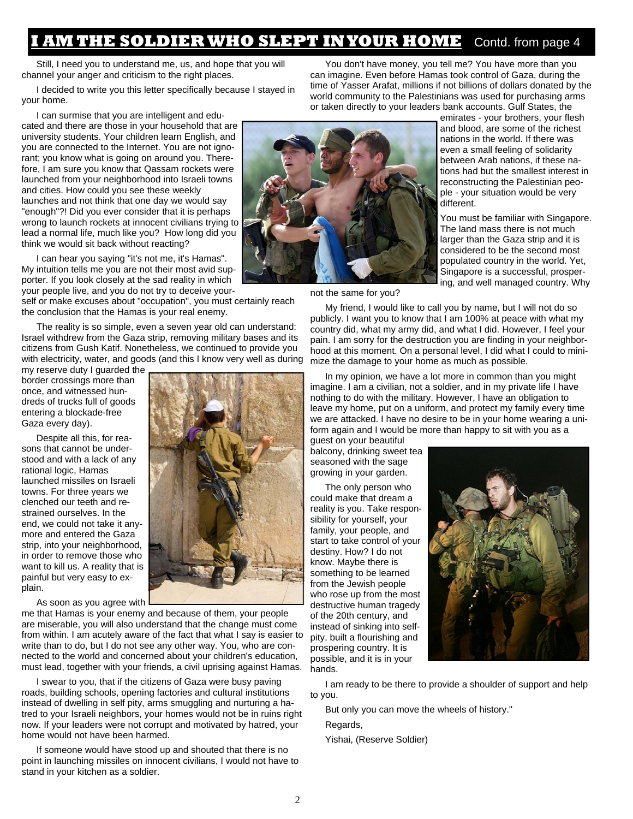### **AM THE SOLDIER WHO SLEPT IN YOUR HOME** Contd. from page 4

Still, I need you to understand me, us, and hope that you will channel your anger and criticism to the right places.

I decided to write you this letter specifically because I stayed in your home.

I can surmise that you are intelligent and educated and there are those in your household that are university students. Your children learn English, and you are connected to the Internet. You are not ignorant; you know what is going on around you. Therefore, I am sure you know that Qassam rockets were launched from your neighborhood into Israeli towns and cities. How could you see these weekly launches and not think that one day we would say "enough"?! Did you ever consider that it is perhaps wrong to launch rockets at innocent civilians trying to lead a normal life, much like you? How long did you think we would sit back without reacting?

I can hear you saying "it's not me, it's Hamas". My intuition tells me you are not their most avid supporter. If you look closely at the sad reality in which your people live, and you do not try to deceive your-

self or make excuses about "occupation", you must certainly reach the conclusion that the Hamas is your real enemy.

The reality is so simple, even a seven year old can understand: Israel withdrew from the Gaza strip, removing military bases and its citizens from Gush Katif. Nonetheless, we continued to provide you with electricity, water, and goods (and this I know very well as during

my reserve duty I guarded the border crossings more than once, and witnessed hundreds of trucks full of goods entering a blockade-free Gaza every day).

Despite all this, for reasons that cannot be understood and with a lack of any rational logic, Hamas launched missiles on Israeli towns. For three years we clenched our teeth and restrained ourselves. In the end, we could not take it anymore and entered the Gaza strip, into your neighborhood, in order to remove those who want to kill us. A reality that is painful but very easy to explain.

As soon as you agree with

me that Hamas is your enemy and because of them, your people are miserable, you will also understand that the change must come from within. I am acutely aware of the fact that what I say is easier to write than to do, but I do not see any other way. You, who are connected to the world and concerned about your children's education, must lead, together with your friends, a civil uprising against Hamas.

I swear to you, that if the citizens of Gaza were busy paving roads, building schools, opening factories and cultural institutions instead of dwelling in self pity, arms smuggling and nurturing a hatred to your Israeli neighbors, your homes would not be in ruins right now. If your leaders were not corrupt and motivated by hatred, your home would not have been harmed.

If someone would have stood up and shouted that there is no point in launching missiles on innocent civilians, I would not have to stand in your kitchen as a soldier.





not the same for you?

My friend, I would like to call you by name, but I will not do so publicly. I want you to know that I am 100% at peace with what my country did, what my army did, and what I did. However, I feel your pain. I am sorry for the destruction you are finding in your neighborhood at this moment. On a personal level, I did what I could to minimize the damage to your home as much as possible.

You don't have money, you tell me? You have more than you can imagine. Even before Hamas took control of Gaza, during the time of Yasser Arafat, millions if not billions of dollars donated by the

In my opinion, we have a lot more in common than you might imagine. I am a civilian, not a soldier, and in my private life I have nothing to do with the military. However, I have an obligation to leave my home, put on a uniform, and protect my family every time we are attacked. I have no desire to be in your home wearing a uniform again and I would be more than happy to sit with you as a

guest on your beautiful balcony, drinking sweet tea seasoned with the sage growing in your garden.

The only person who could make that dream a reality is you. Take responsibility for yourself, your family, your people, and start to take control of your destiny. How? I do not know. Maybe there is something to be learned from the Jewish people who rose up from the most destructive human tragedy of the 20th century, and instead of sinking into selfpity, built a flourishing and prospering country. It is possible, and it is in your hands.



I am ready to be there to provide a shoulder of support and help to you.

But only you can move the wheels of history."

Regards,

Yishai, (Reserve Soldier)

world community to the Palestinians was used for purchasing arms or taken directly to your leaders bank accounts. Gulf States, the emirates - your brothers, your flesh and blood, are some of the richest nations in the world. If there was even a small feeling of solidarity between Arab nations, if these nations had but the smallest interest in

reconstructing the Palestinian people - your situation would be very different. You must be familiar with Singapore.

The land mass there is not much larger than the Gaza strip and it is considered to be the second most populated country in the world. Yet, Singapore is a successful, prospering, and well managed country. Why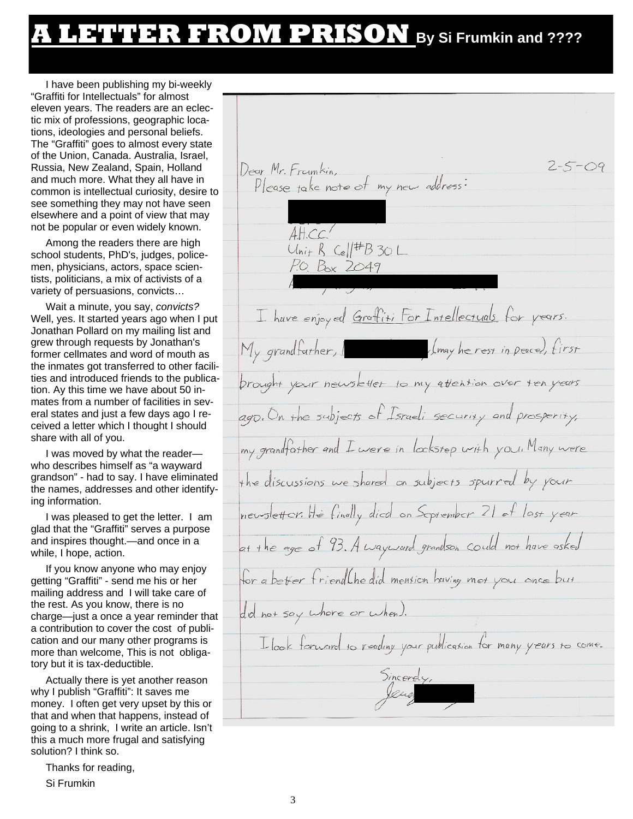## **A LETTER FROM PRISON By Si Frumkin and ????**

I have been publishing my bi-weekly "Graffiti for Intellectuals" for almost eleven years. The readers are an eclectic mix of professions, geographic locations, ideologies and personal beliefs. The "Graffiti" goes to almost every state of the Union, Canada. Australia, Israel, Russia, New Zealand, Spain, Holland and much more. What they all have in common is intellectual curiosity, desire to see something they may not have seen elsewhere and a point of view that may not be popular or even widely known.

Among the readers there are high school students, PhD's, judges, policemen, physicians, actors, space scientists, politicians, a mix of activists of a variety of persuasions, convicts…

Wait a minute, you say, *convicts?*  Well, yes. It started years ago when I put Jonathan Pollard on my mailing list and grew through requests by Jonathan's former cellmates and word of mouth as the inmates got transferred to other facilities and introduced friends to the publication. Ay this time we have about 50 inmates from a number of facilities in several states and just a few days ago I received a letter which I thought I should share with all of you.

I was moved by what the reader who describes himself as "a wayward grandson" - had to say. I have eliminated the names, addresses and other identifying information.

I was pleased to get the letter. I am glad that the "Graffiti" serves a purpose and inspires thought.—and once in a while, I hope, action.

If you know anyone who may enjoy getting "Graffiti" - send me his or her mailing address and I will take care of the rest. As you know, there is no charge—just a once a year reminder that a contribution to cover the cost of publication and our many other programs is more than welcome, This is not obligatory but it is tax-deductible.

Actually there is yet another reason why I publish "Graffiti": It saves me money. I often get very upset by this or that and when that happens, instead of going to a shrink, I write an article. Isn't this a much more frugal and satisfying solution? I think so.

Thanks for reading,

Si Frumkin

 $2 - 5 - 09$ Dear Mr. Framkin, ar Mr. Framkin,<br>Please take note of my new address:  $A H. CC.$  $Unif R$  Cell#B 30 L P.O. Box 2049 I have enjoyed Groffiti For Intellectuals for years. Imay he rest in peace), first My grandfather, I brought your newsletter to my attention over ten years ago. On the subjects of Israeli security and prosperity, my grandfather and I were in lookstep with you. Many were the discussions we shared on subjects spurred by your newsletter. He finally died on September 21 of last year at the age of 93. A wayward grandson could not have asked for a better friend the did mention having met you ance but did not say where or when). I look forward to reading your publication for many years to come. Sincerdy,